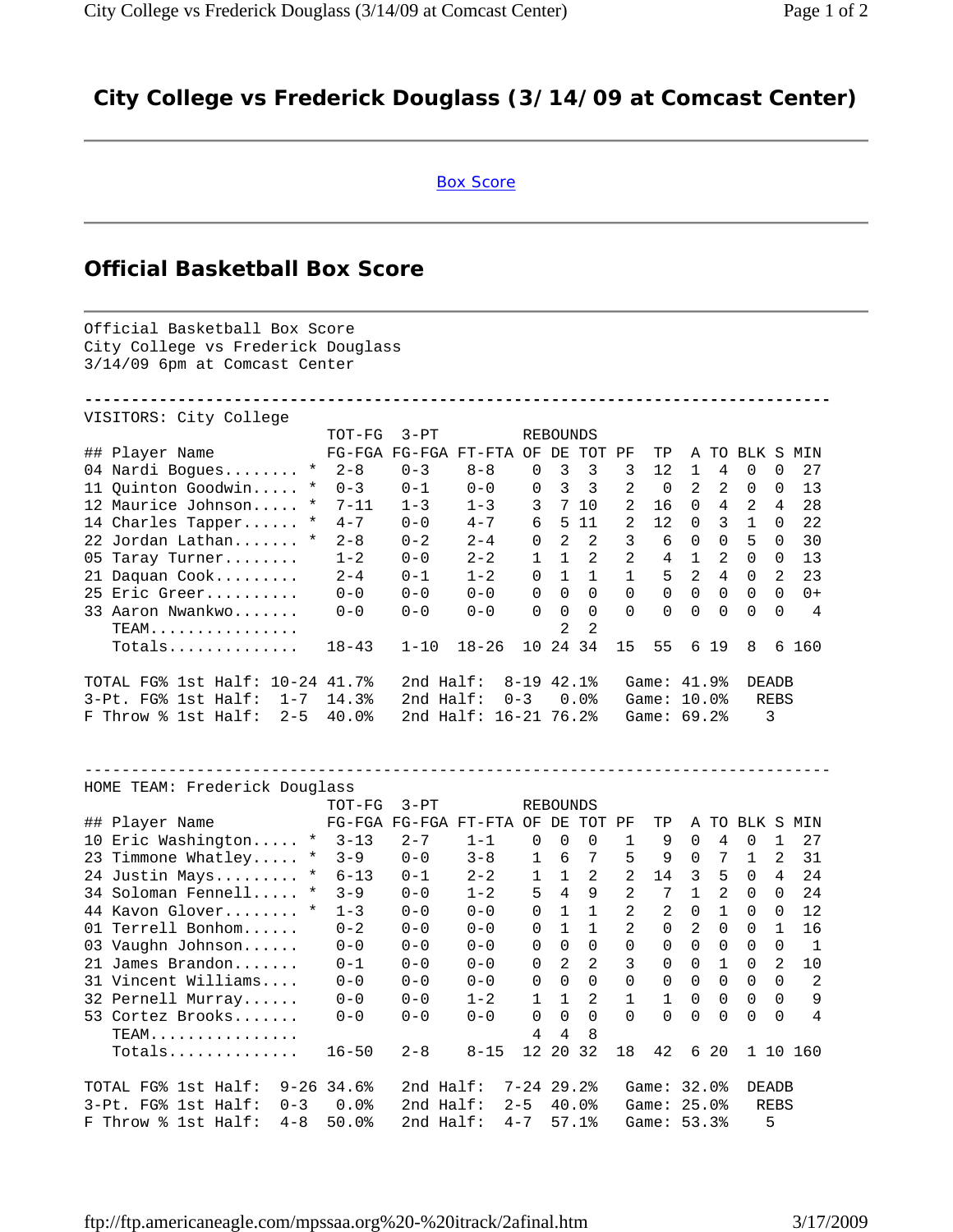## **City College vs Frederick Douglass (3/14/09 at Comcast Center)**

## Box Score

## **Official Basketball Box Score**

Official Basketball Box Score City College vs Frederick Douglass 3/14/09 6pm at Comcast Center **--------------------------------------------------------------------------------** VISITORS: City College TOT-FG 3-PT REBOUNDS ## Player Name FG-FGA FG-FGA FT-FTA OF DE TOT PF TP A TO BLK S MIN 04 Nardi Bogues........ \* 2-8 0-3 8-8 0 3 3 3 12 1 4 0 0 27 11 Quinton Goodwin..... \* 0-3 0-1 0-0 0 3 3 2 0 2 2 0 0 13 12 Maurice Johnson..... \* 7-11 1-3 1-3 3 7 10 2 16 0 4 2 4 28 14 Charles Tapper...... \* 4-7 0-0 4-7 6 5 11 2 12 0 3 1 0 22 22 Jordan Lathan....... \* 2-8 0-2 2-4 0 2 2 3 6 0 0 5 0 30 05 Taray Turner........ 1-2 0-0 2-2 1 1 2 2 4 1 2 0 0 13 21 Daquan Cook......... 2-4 0-1 1-2 0 1 1 1 5 2 4 0 2 23 25 Eric Greer.......... 0-0 0-0 0-0 0 0 0 0 0 0 0 0 0 0+ 33 Aaron Nwankwo....... 0-0 0-0 0-0 0 0 0 0 0 0 0 0 0 4  $TEAM. \ldots \ldots \ldots \ldots$  Totals.............. 18-43 1-10 18-26 10 24 34 15 55 6 19 8 6 160 TOTAL FG% 1st Half: 10-24 41.7% 2nd Half: 8-19 42.1% Game: 41.9% DEADB 3-Pt. FG% 1st Half: 1-7 14.3% 2nd Half: 0-3 0.0% Game: 10.0% REBS F Throw % 1st Half: 2-5 40.0% 2nd Half: 16-21 76.2% Game: 69.2% 3 -------------------------------------------------------------------------------- HOME TEAM: Frederick Douglass TOT-FG 3-PT REBOUNDS ## Player Name FG-FGA FG-FGA FT-FTA OF DE TOT PF TP A TO BLK S MIN 10 Eric Washington..... \* 3-13 2-7 1-1 0 0 0 1 9 0 4 0 1 27 23 Timmone Whatley..... \* 3-9 0-0 3-8 1 6 7 5 9 0 7 1 2 31 24 Justin Mays......... \* 6-13 0-1 2-2 1 1 2 2 14 3 5 0 4 24 34 Soloman Fennell..... \* 3-9 0-0 1-2 5 4 9 2 7 1 2 0 0 24 44 Kavon Glover........ \* 1-3 0-0 0-0 0 1 1 2 2 0 1 0 0 12 01 Terrell Bonhom...... 0-2 0-0 0-0 0 1 1 2 0 2 0 0 1 16 03 Vaughn Johnson...... 0-0 0-0 0-0 0 0 0 0 0 0 0 0 0 1 21 James Brandon....... 0-1 0-0 0-0 0 2 2 3 0 0 1 0 2 10 31 Vincent Williams.... 0-0 0-0 0-0 0 0 0 0 0 0 0 0 0 2 32 Pernell Murray...... 0-0 0-0 1-2 1 1 2 1 1 0 0 0 0 9 53 Cortez Brooks....... 0-0 0-0 0-0 0 0 0 0 0 0 0 0 0 4  $\texttt{TEAM}\dots\dots\dots\dots\dots$  Totals.............. 16-50 2-8 8-15 12 20 32 18 42 6 20 1 10 160 TOTAL FG% 1st Half: 9-26 34.6% 2nd Half: 7-24 29.2% Game: 32.0% DEADB 3-Pt. FG% 1st Half: 0-3 0.0% 2nd Half: 2-5 40.0% Game: 25.0% REBS F Throw % 1st Half: 4-8 50.0% 2nd Half: 4-7 57.1% Game: 53.3% 5